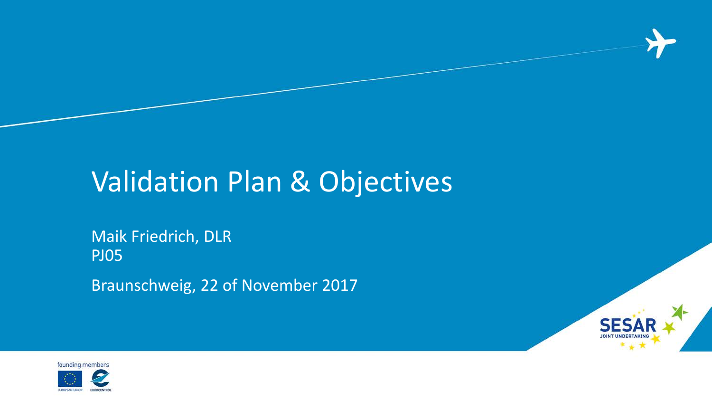### Validation Plan & Objectives

#### Maik Friedrich, DLR PJ05

Braunschweig, 22 of November 2017



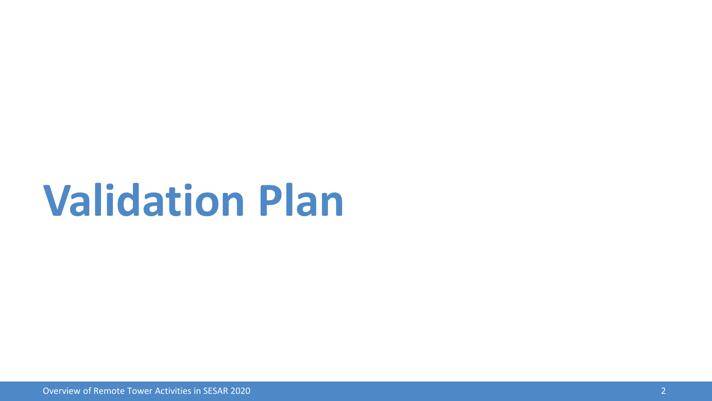## **Validation Plan**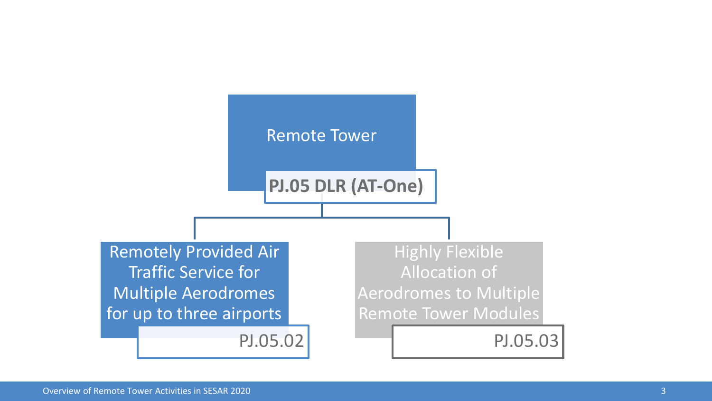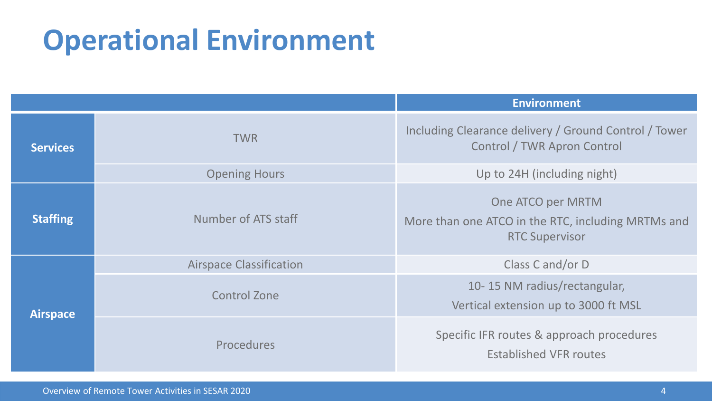### **Operational Environment**

|                 |                                | <b>Environment</b>                                                                               |  |
|-----------------|--------------------------------|--------------------------------------------------------------------------------------------------|--|
| <b>Services</b> | <b>TWR</b>                     | Including Clearance delivery / Ground Control / Tower<br>Control / TWR Apron Control             |  |
|                 | <b>Opening Hours</b>           | Up to 24H (including night)                                                                      |  |
| <b>Staffing</b> | Number of ATS staff            | One ATCO per MRTM<br>More than one ATCO in the RTC, including MRTMs and<br><b>RTC Supervisor</b> |  |
| <b>Airspace</b> | <b>Airspace Classification</b> | Class C and/or D                                                                                 |  |
|                 | <b>Control Zone</b>            | 10-15 NM radius/rectangular,<br>Vertical extension up to 3000 ft MSL                             |  |
|                 | Procedures                     | Specific IFR routes & approach procedures<br><b>Established VFR routes</b>                       |  |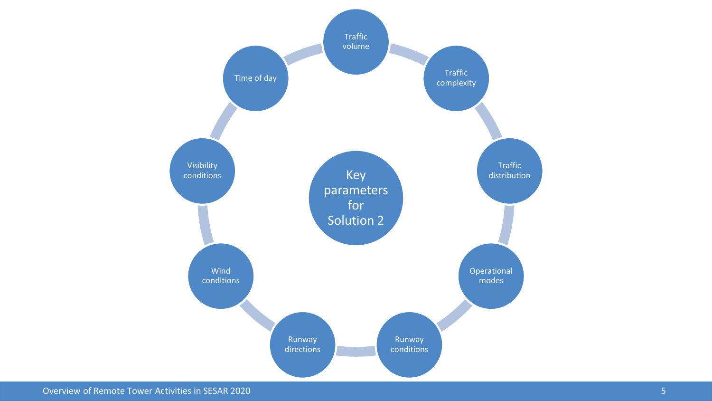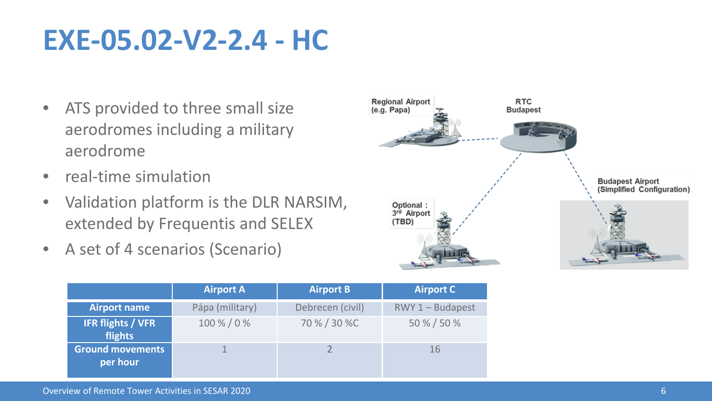#### **EXE-05.02-V2-2.4 - HC**

- ATS provided to three small size aerodromes including a military aerodrome
- real-time simulation
- Validation platform is the DLR NARSIM, extended by Frequentis and SELEX
- A set of 4 scenarios (Scenario)



|                                     | <b>Airport A</b> | <b>Airport B</b> | <b>Airport C</b>   |
|-------------------------------------|------------------|------------------|--------------------|
| <b>Airport name</b>                 | Pápa (military)  | Debrecen (civil) | $RWY 1 - Budapest$ |
| <b>IFR flights / VFR</b><br>flights | 100 % / 0 %      | 70 % / 30 %C     | 50 % / 50 %        |
| <b>Ground movements</b><br>per hour |                  |                  | 16                 |

Overview of Remote Tower Activities in SESAR 2020 6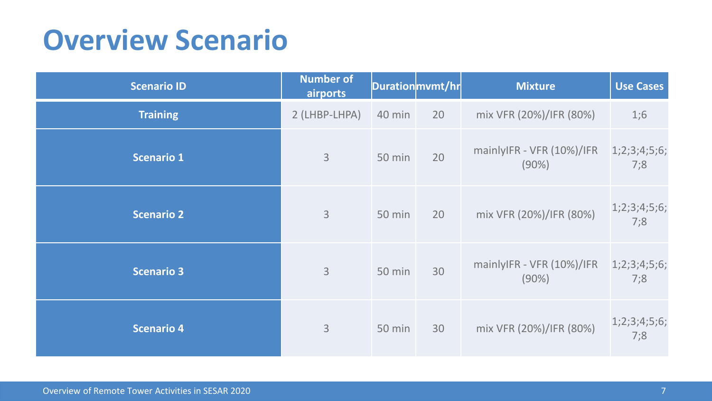#### **Overview Scenario**

| <b>Scenario ID</b> | Number of<br>airports |               | Durationmvmt/hr | <b>Mixture</b>                     | <b>Use Cases</b>    |
|--------------------|-----------------------|---------------|-----------------|------------------------------------|---------------------|
| <b>Training</b>    | 2 (LHBP-LHPA)         | 40 min        | 20              | mix VFR (20%)/IFR (80%)            | 1;6                 |
| <b>Scenario 1</b>  | $\mathsf{3}$          | 50 min        | 20              | mainlyIFR - VFR (10%)/IFR<br>(90%) | 1;2;3;4;5;6;<br>7:8 |
| <b>Scenario 2</b>  | 3                     | 50 min        | 20              | mix VFR (20%)/IFR (80%)            | 1;2;3;4;5;6;<br>7;8 |
| <b>Scenario 3</b>  | $\overline{3}$        | <b>50 min</b> | 30              | mainlyIFR - VFR (10%)/IFR<br>(90%) | 1;2;3;4;5;6;<br>7:8 |
| <b>Scenario 4</b>  | $\mathsf{3}$          | 50 min        | 30              | mix VFR (20%)/IFR (80%)            | 1;2;3;4;5;6;<br>7:8 |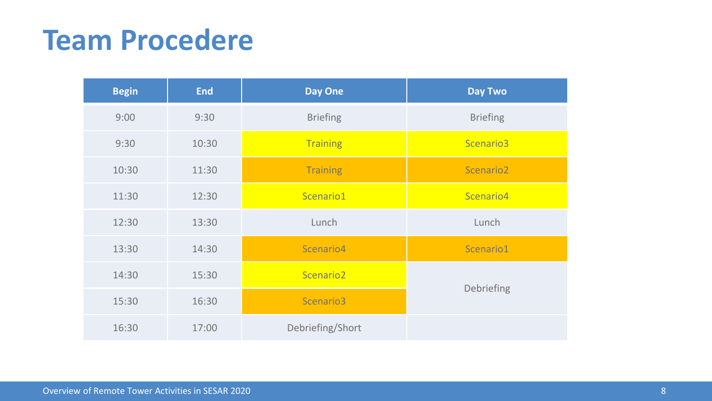#### **Team Procedere**

| <b>Begin</b> | <b>End</b> | <b>Day One</b>        | <b>Day Two</b>        |  |
|--------------|------------|-----------------------|-----------------------|--|
| 9:00         | 9:30       | <b>Briefing</b>       | <b>Briefing</b>       |  |
| 9:30         | 10:30      | <b>Training</b>       | Scenario3             |  |
| 10:30        | 11:30      | <b>Training</b>       | Scenario <sub>2</sub> |  |
| 11:30        | 12:30      | Scenario1             | Scenario4             |  |
| 12:30        | 13:30      | Lunch                 | Lunch                 |  |
| 13:30        | 14:30      | Scenario4             | Scenario1             |  |
| 14:30        | 15:30      | Scenario <sub>2</sub> |                       |  |
| 15:30        | 16:30      | Scenario3             | Debriefing            |  |
| 16:30        | 17:00      | Debriefing/Short      |                       |  |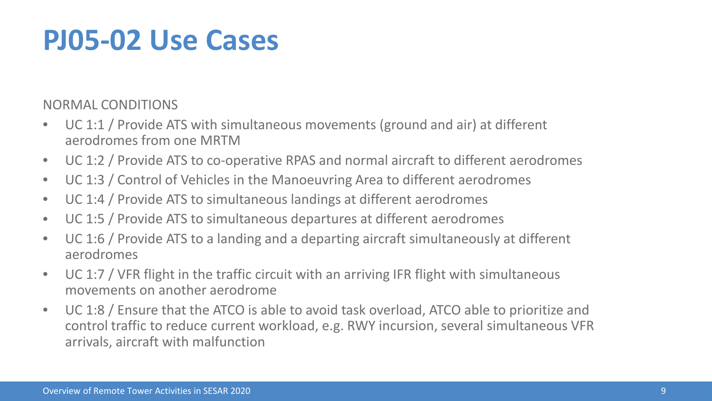#### **PJ05-02 Use Cases**

NORMAL CONDITIONS

- UC 1:1 / Provide ATS with simultaneous movements (ground and air) at different aerodromes from one MRTM
- UC 1:2 / Provide ATS to co-operative RPAS and normal aircraft to different aerodromes
- UC 1:3 / Control of Vehicles in the Manoeuvring Area to different aerodromes
- UC 1:4 / Provide ATS to simultaneous landings at different aerodromes
- UC 1:5 / Provide ATS to simultaneous departures at different aerodromes
- UC 1:6 / Provide ATS to a landing and a departing aircraft simultaneously at different aerodromes
- UC 1:7 / VFR flight in the traffic circuit with an arriving IFR flight with simultaneous movements on another aerodrome
- UC 1:8 / Ensure that the ATCO is able to avoid task overload, ATCO able to prioritize and control traffic to reduce current workload, e.g. RWY incursion, several simultaneous VFR arrivals, aircraft with malfunction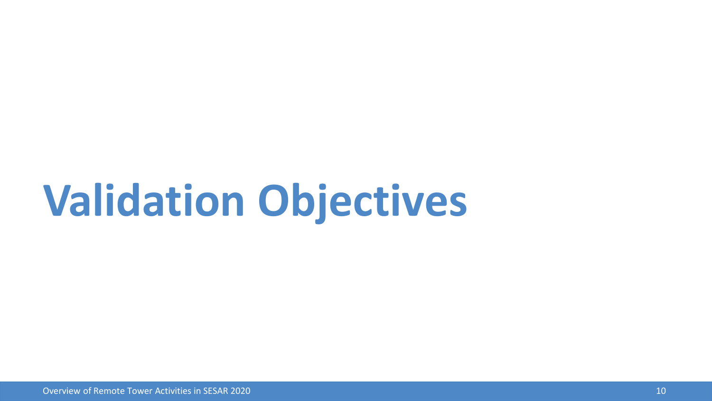# **Validation Objectives**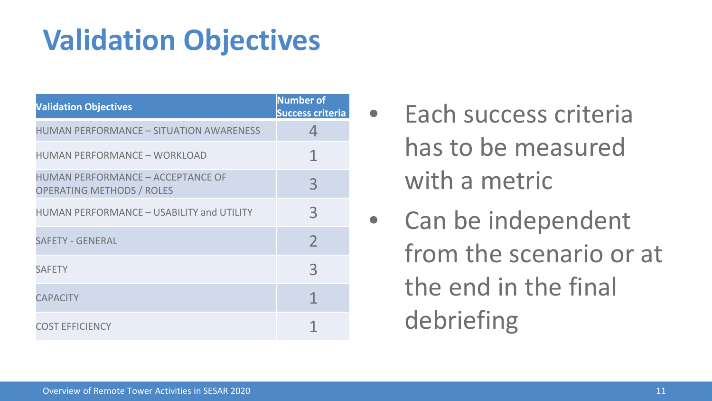### **Validation Objectives**

| <b>Validation Objectives</b>                                                 | <b>Number of</b><br><b>Success criteria</b> |
|------------------------------------------------------------------------------|---------------------------------------------|
| HUMAN PERFORMANCE – SITUATION AWARENESS                                      | 4                                           |
| HUMAN PERFORMANCE – WORKLOAD                                                 | 1                                           |
| <b>HUMAN PERFORMANCE - ACCEPTANCE OF</b><br><b>OPERATING METHODS / ROLES</b> | 3                                           |
| HUMAN PERFORMANCE - USABILITY and UTILITY                                    | $\mathcal{E}$                               |
| <b>SAFETY - GENERAL</b>                                                      | $\mathcal{P}$                               |
| <b>SAFFTY</b>                                                                | $\overline{3}$                              |
| <b>CAPACITY</b>                                                              | 1                                           |
| <b>COST EFFICIENCY</b>                                                       |                                             |

- Each success criteria has to be measured with a metric
- Can be independent from the scenario or at the end in the final debriefing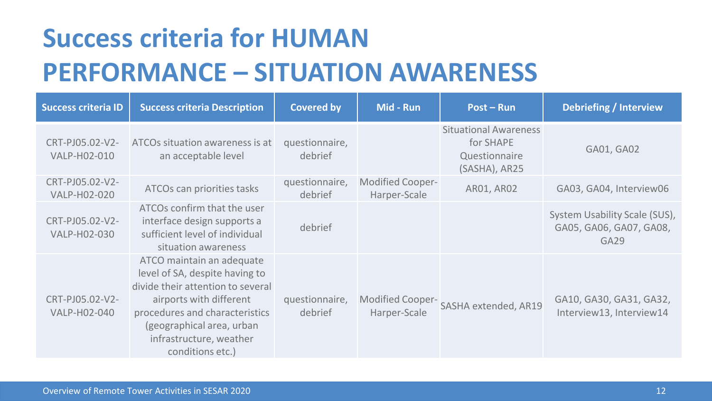### **Success criteria for HUMAN PERFORMANCE – SITUATION AWARENESS**

| <b>Success criteria ID</b>      | <b>Success criteria Description</b>                                                                                                                                                                                                       | <b>Covered by</b>         | Mid - Run                        | Post – Run                                                                  | Debriefing / Interview                                                       |
|---------------------------------|-------------------------------------------------------------------------------------------------------------------------------------------------------------------------------------------------------------------------------------------|---------------------------|----------------------------------|-----------------------------------------------------------------------------|------------------------------------------------------------------------------|
| CRT-PJ05.02-V2-<br>VALP-H02-010 | ATCOs situation awareness is at<br>an acceptable level                                                                                                                                                                                    | questionnaire,<br>debrief |                                  | <b>Situational Awareness</b><br>for SHAPE<br>Questionnaire<br>(SASHA), AR25 | GA01, GA02                                                                   |
| CRT-PJ05.02-V2-<br>VALP-H02-020 | ATCOs can priorities tasks                                                                                                                                                                                                                | questionnaire,<br>debrief | Modified Cooper-<br>Harper-Scale | AR01, AR02                                                                  | GA03, GA04, Interview06                                                      |
| CRT-PJ05.02-V2-<br>VALP-H02-030 | ATCOs confirm that the user<br>interface design supports a<br>sufficient level of individual<br>situation awareness                                                                                                                       | debrief                   |                                  |                                                                             | System Usability Scale (SUS),<br>GA05, GA06, GA07, GA08,<br>GA <sub>29</sub> |
| CRT-PJ05.02-V2-<br>VALP-H02-040 | ATCO maintain an adequate<br>level of SA, despite having to<br>divide their attention to several<br>airports with different<br>procedures and characteristics<br>(geographical area, urban<br>infrastructure, weather<br>conditions etc.) | questionnaire,<br>debrief | Modified Cooper-<br>Harper-Scale | SASHA extended, AR19                                                        | GA10, GA30, GA31, GA32,<br>Interview13, Interview14                          |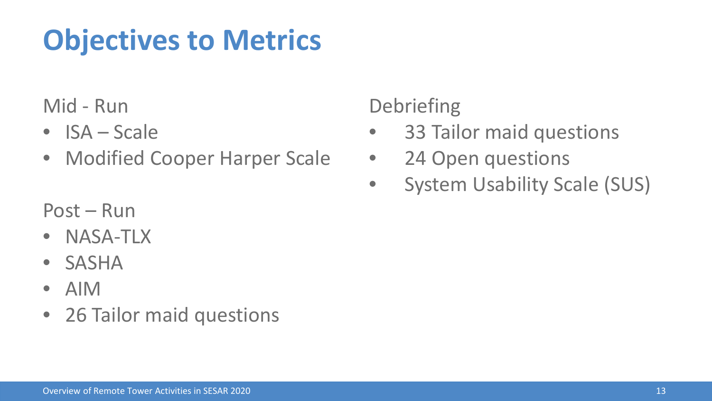### **Objectives to Metrics**

Mid - Run

- ISA Scale
- Modified Cooper Harper Scale

**Debriefing** 

- 33 Tailor maid questions
- 24 Open questions
- System Usability Scale (SUS)

Post – Run

- NASA-TLX
- SASHA
- AIM
- 26 Tailor maid questions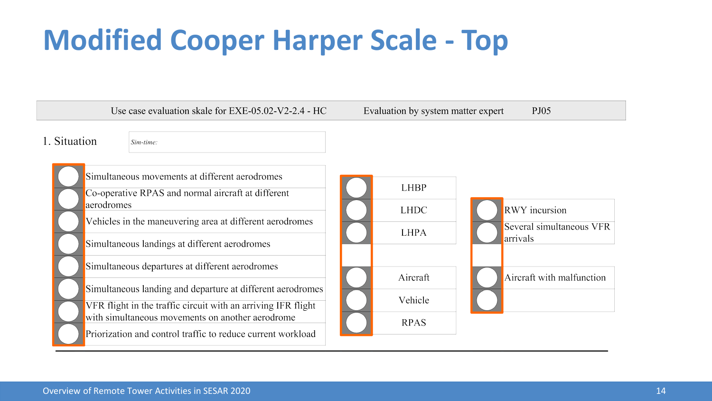### **Modified Cooper Harper Scale - Top**

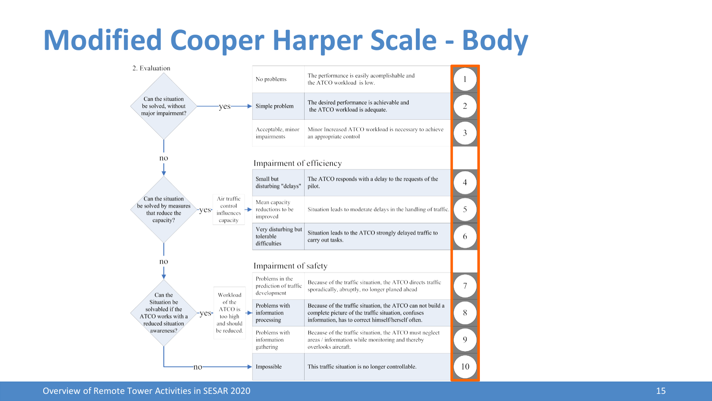#### **Modified Cooper Harper Scale - Body**

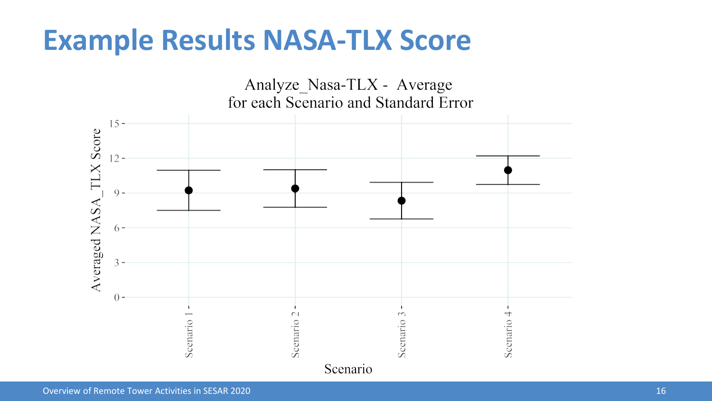#### **Example Results NASA-TLX Score**

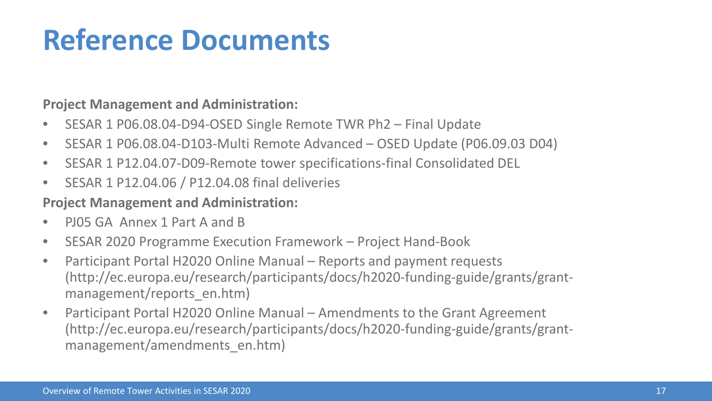### **Reference Documents**

#### **Project Management and Administration:**

- SESAR 1 P06.08.04-D94-OSED Single Remote TWR Ph2 Final Update
- SESAR 1 P06.08.04-D103-Multi Remote Advanced OSED Update (P06.09.03 D04)
- SESAR 1 P12.04.07-D09-Remote tower specifications-final Consolidated DEL
- SESAR 1 P12.04.06 / P12.04.08 final deliveries

#### **Project Management and Administration:**

- PJ05 GA Annex 1 Part A and B
- SESAR 2020 Programme Execution Framework Project Hand-Book
- Participant Portal H2020 Online Manual Reports and payment requests (http://ec.europa.eu/research/participants/docs/h2020-funding-guide/grants/grantmanagement/reports\_en.htm)
- Participant Portal H2020 Online Manual Amendments to the Grant Agreement (http://ec.europa.eu/research/participants/docs/h2020-funding-guide/grants/grantmanagement/amendments\_en.htm)